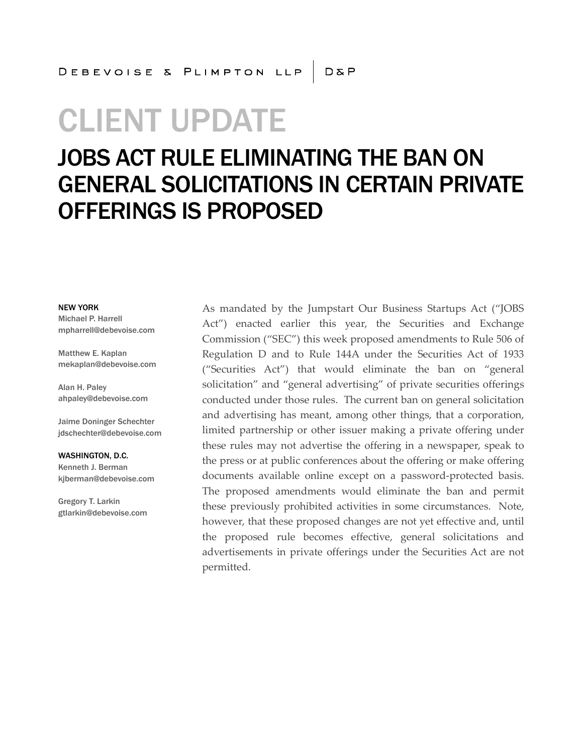# CLIENT UPDATE

## JOBS ACT RULE ELIMINATING THE BAN ON GENERAL SOLICITATIONS IN CERTAIN PRIVATE OFFERINGS IS PROPOSED

#### NEW YORK

Michael P. Harrell mpharrell@debevoise.com

Matthew E. Kaplan mekaplan@debevoise.com

Alan H. Paley ahpaley@debevoise.com

Jaime Doninger Schechter jdschechter@debevoise.com

WASHINGTON, D.C. Kenneth J. Berman kjberman@debevoise.com

Gregory T. Larkin gtlarkin@debevoise.com As mandated by the Jumpstart Our Business Startups Act ("JOBS Act") enacted earlier this year, the Securities and Exchange Commission ("SEC") this week proposed amendments to Rule 506 of Regulation D and to Rule 144A under the Securities Act of 1933 ("Securities Act") that would eliminate the ban on "general solicitation" and "general advertising" of private securities offerings conducted under those rules. The current ban on general solicitation and advertising has meant, among other things, that a corporation, limited partnership or other issuer making a private offering under these rules may not advertise the offering in a newspaper, speak to the press or at public conferences about the offering or make offering documents available online except on a password-protected basis. The proposed amendments would eliminate the ban and permit these previously prohibited activities in some circumstances. Note, however, that these proposed changes are not yet effective and, until the proposed rule becomes effective, general solicitations and advertisements in private offerings under the Securities Act are not permitted.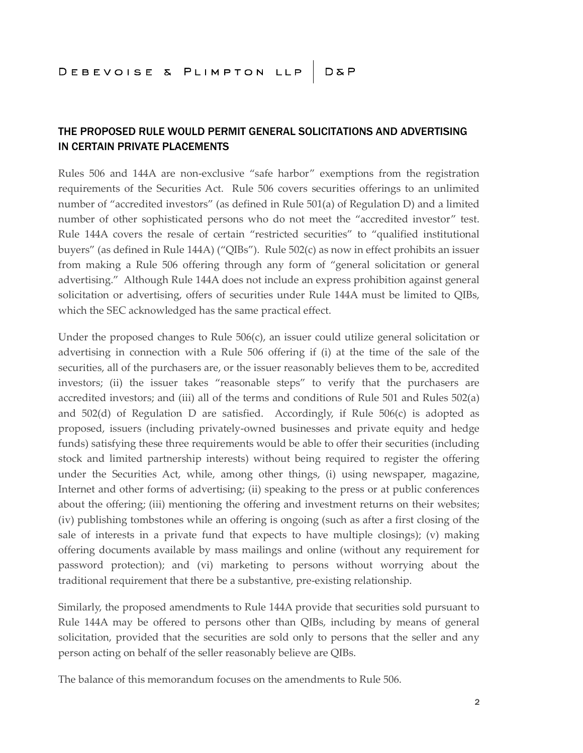#### THE PROPOSED RULE WOULD PERMIT GENERAL SOLICITATIONS AND ADVERTISING IN CERTAIN PRIVATE PLACEMENTS

Rules 506 and 144A are non-exclusive "safe harbor" exemptions from the registration requirements of the Securities Act. Rule 506 covers securities offerings to an unlimited number of "accredited investors" (as defined in Rule 501(a) of Regulation D) and a limited number of other sophisticated persons who do not meet the "accredited investor" test. Rule 144A covers the resale of certain "restricted securities" to "qualified institutional buyers" (as defined in Rule 144A) ("QIBs"). Rule 502(c) as now in effect prohibits an issuer from making a Rule 506 offering through any form of "general solicitation or general advertising." Although Rule 144A does not include an express prohibition against general solicitation or advertising, offers of securities under Rule 144A must be limited to QIBs, which the SEC acknowledged has the same practical effect.

Under the proposed changes to Rule 506(c), an issuer could utilize general solicitation or advertising in connection with a Rule 506 offering if (i) at the time of the sale of the securities, all of the purchasers are, or the issuer reasonably believes them to be, accredited investors; (ii) the issuer takes "reasonable steps" to verify that the purchasers are accredited investors; and (iii) all of the terms and conditions of Rule 501 and Rules 502(a) and  $502(d)$  of Regulation D are satisfied. Accordingly, if Rule  $506(c)$  is adopted as proposed, issuers (including privately-owned businesses and private equity and hedge funds) satisfying these three requirements would be able to offer their securities (including stock and limited partnership interests) without being required to register the offering under the Securities Act, while, among other things, (i) using newspaper, magazine, Internet and other forms of advertising; (ii) speaking to the press or at public conferences about the offering; (iii) mentioning the offering and investment returns on their websites; (iv) publishing tombstones while an offering is ongoing (such as after a first closing of the sale of interests in a private fund that expects to have multiple closings); (v) making offering documents available by mass mailings and online (without any requirement for password protection); and (vi) marketing to persons without worrying about the traditional requirement that there be a substantive, pre-existing relationship.

Similarly, the proposed amendments to Rule 144A provide that securities sold pursuant to Rule 144A may be offered to persons other than QIBs, including by means of general solicitation, provided that the securities are sold only to persons that the seller and any person acting on behalf of the seller reasonably believe are QIBs.

The balance of this memorandum focuses on the amendments to Rule 506.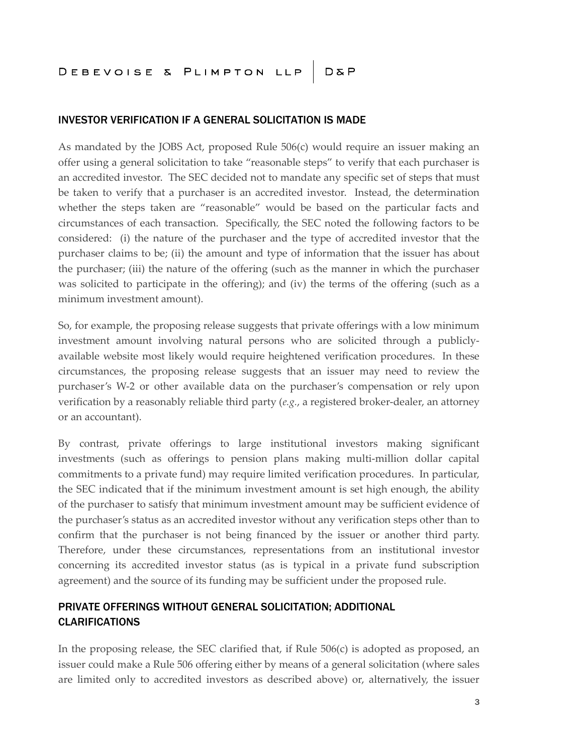#### INVESTOR VERIFICATION IF A GENERAL SOLICITATION IS MADE

As mandated by the JOBS Act, proposed Rule 506(c) would require an issuer making an offer using a general solicitation to take "reasonable steps" to verify that each purchaser is an accredited investor. The SEC decided not to mandate any specific set of steps that must be taken to verify that a purchaser is an accredited investor. Instead, the determination whether the steps taken are "reasonable" would be based on the particular facts and circumstances of each transaction. Specifically, the SEC noted the following factors to be considered: (i) the nature of the purchaser and the type of accredited investor that the purchaser claims to be; (ii) the amount and type of information that the issuer has about the purchaser; (iii) the nature of the offering (such as the manner in which the purchaser was solicited to participate in the offering); and (iv) the terms of the offering (such as a minimum investment amount).

So, for example, the proposing release suggests that private offerings with a low minimum investment amount involving natural persons who are solicited through a publiclyavailable website most likely would require heightened verification procedures. In these circumstances, the proposing release suggests that an issuer may need to review the purchaser's W-2 or other available data on the purchaser's compensation or rely upon verification by a reasonably reliable third party (*e.g.*, a registered broker-dealer, an attorney or an accountant).

By contrast, private offerings to large institutional investors making significant investments (such as offerings to pension plans making multi-million dollar capital commitments to a private fund) may require limited verification procedures. In particular, the SEC indicated that if the minimum investment amount is set high enough, the ability of the purchaser to satisfy that minimum investment amount may be sufficient evidence of the purchaser's status as an accredited investor without any verification steps other than to confirm that the purchaser is not being financed by the issuer or another third party. Therefore, under these circumstances, representations from an institutional investor concerning its accredited investor status (as is typical in a private fund subscription agreement) and the source of its funding may be sufficient under the proposed rule.

### PRIVATE OFFERINGS WITHOUT GENERAL SOLICITATION; ADDITIONAL CLARIFICATIONS

In the proposing release, the SEC clarified that, if Rule 506(c) is adopted as proposed, an issuer could make a Rule 506 offering either by means of a general solicitation (where sales are limited only to accredited investors as described above) or, alternatively, the issuer